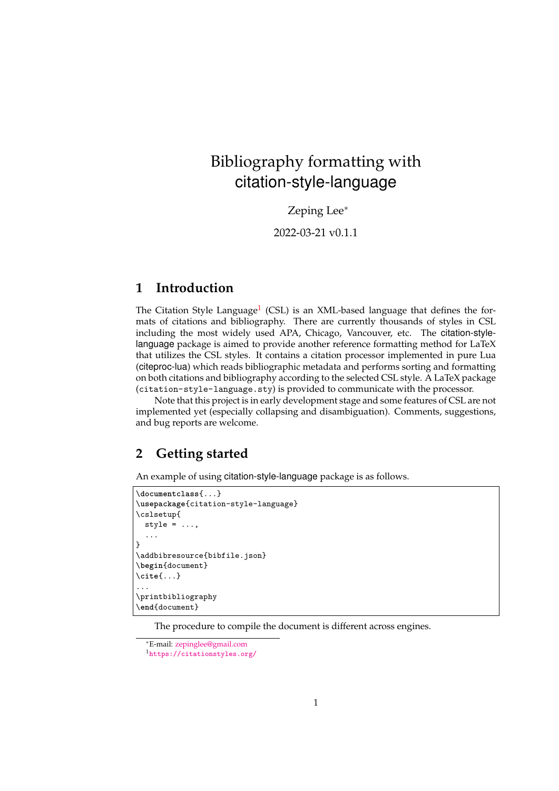# Bibliography formatting with citation-style-language

Zeping Lee<sup>∗</sup>

2022-03-21 v0.1.1

# **1 Introduction**

The Citation Style Language<sup>[1](#page-0-0)</sup> (CSL) is an XML-based language that defines the formats of citations and bibliography. There are currently thousands of styles in CSL including the most widely used APA, Chicago, Vancouver, etc. The citation-stylelanguage package is aimed to provide another reference formatting method for LaTeX that utilizes the CSL styles. It contains a citation processor implemented in pure Lua (citeproc-lua) which reads bibliographic metadata and performs sorting and formatting on both citations and bibliography according to the selected CSL style. A LaTeX package (citation-style-language.sty) is provided to communicate with the processor.

Note that this project is in early development stage and some features of CSL are not implemented yet (especially collapsing and disambiguation). Comments, suggestions, and bug reports are welcome.

# **2 Getting started**

An example of using citation-style-language package is as follows.

```
\documentclass{...}
\usepackage{citation-style-language}
\cslsetup{
 style = \ldots...
}
\addbibresource{bibfile.json}
\begin{document}
\cite{...}
...
\printbibliography
\end{document}
```
The procedure to compile the document is different across engines.

<sup>∗</sup>E-mail: [zepinglee@gmail.com](mailto:zepinglee@gmail.com)

<span id="page-0-0"></span><sup>1</sup><https://citationstyles.org/>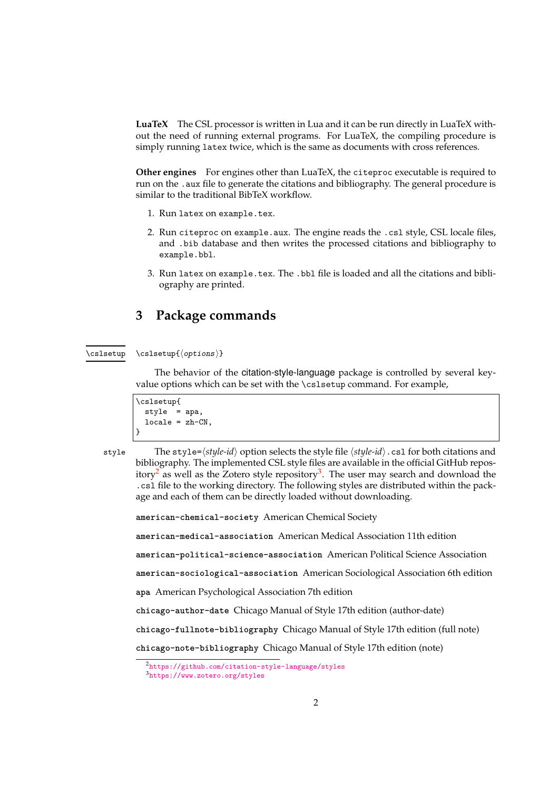**LuaTeX** The CSL processor is written in Lua and it can be run directly in LuaTeX without the need of running external programs. For LuaTeX, the compiling procedure is simply running latex twice, which is the same as documents with cross references.

**Other engines** For engines other than LuaTeX, the citeproc executable is required to run on the .aux file to generate the citations and bibliography. The general procedure is similar to the traditional BibTeX workflow.

- 1. Run latex on example.tex.
- 2. Run citeproc on example.aux. The engine reads the .csl style, CSL locale files, and .bib database and then writes the processed citations and bibliography to example.bbl.
- 3. Run latex on example.tex. The .bbl file is loaded and all the citations and bibliography are printed.

### **3 Package commands**

\cslsetup \cslsetup{⟨options⟩}

The behavior of the citation-style-language package is controlled by several keyvalue options which can be set with the \cslsetup command. For example,

```
\cslsetup{
 style = apa,
  locale = zh-CN,
}
```
style The style=⟨*style-id*⟩ option selects the style file ⟨*style-id*⟩.csl for both citations and bibliography. The implemented CSL style files are available in the official GitHub repos-itory<sup>[2](#page-1-0)</sup> as well as the Zotero style repository<sup>[3](#page-1-1)</sup>. The user may search and download the .csl file to the working directory. The following styles are distributed within the package and each of them can be directly loaded without downloading.

**american-chemical-society** American Chemical Society

**american-medical-association** American Medical Association 11th edition

**american-political-science-association** American Political Science Association

**american-sociological-association** American Sociological Association 6th edition

**apa** American Psychological Association 7th edition

**chicago-author-date** Chicago Manual of Style 17th edition (author-date)

**chicago-fullnote-bibliography** Chicago Manual of Style 17th edition (full note)

**chicago-note-bibliography** Chicago Manual of Style 17th edition (note)

<span id="page-1-0"></span><sup>2</sup><https://github.com/citation-style-language/styles>

<span id="page-1-1"></span><sup>3</sup><https://www.zotero.org/styles>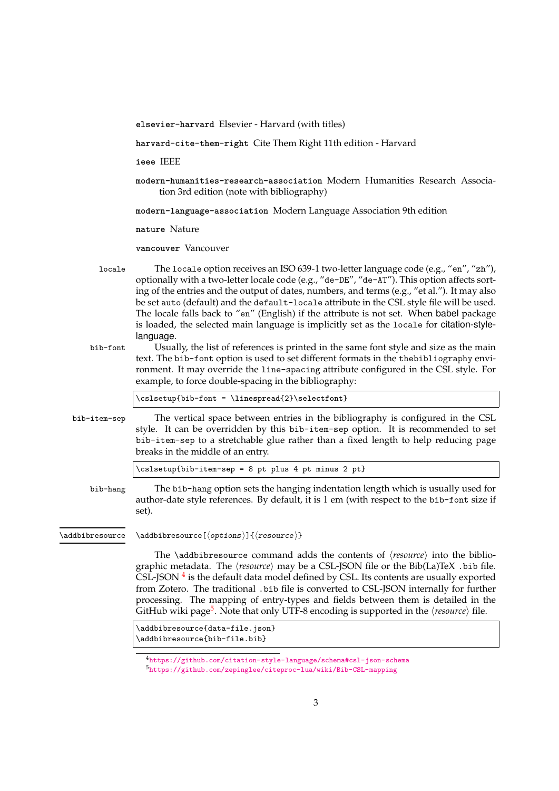**elsevier-harvard** Elsevier - Harvard (with titles)

**harvard-cite-them-right** Cite Them Right 11th edition - Harvard

**ieee** IEEE

**modern-humanities-research-association** Modern Humanities Research Association 3rd edition (note with bibliography)

**modern-language-association** Modern Language Association 9th edition

**nature** Nature

**vancouver** Vancouver

locale The locale option receives an ISO 639-1 two-letter language code (e.g., "en", "zh"), optionally with a two-letter locale code (e.g., "de-DE", "de-AT"). This option affects sorting of the entries and the output of dates, numbers, and terms (e.g., "et al."). It may also be set auto (default) and the default-locale attribute in the CSL style file will be used. The locale falls back to "en" (English) if the attribute is not set. When babel package is loaded, the selected main language is implicitly set as the locale for citation-stylelanguage.

bib-font Usually, the list of references is printed in the same font style and size as the main text. The bib-font option is used to set different formats in the thebibliography environment. It may override the line-spacing attribute configured in the CSL style. For example, to force double-spacing in the bibliography:

\cslsetup{bib-font = \**linespread**{2}\**selectfont**}

bib-item-sep The vertical space between entries in the bibliography is configured in the CSL style. It can be overridden by this bib-item-sep option. It is recommended to set bib-item-sep to a stretchable glue rather than a fixed length to help reducing page breaks in the middle of an entry.

\cslsetup{bib-item-sep = 8 pt plus 4 pt minus 2 pt}

bib-hang The bib-hang option sets the hanging indentation length which is usually used for author-date style references. By default, it is 1 em (with respect to the bib-font size if set).

\addbibresource \addbibresource[⟨options⟩]{⟨resource⟩}

The \addbibresource command adds the contents of ⟨*resource*⟩ into the bibliographic metadata. The ⟨*resource*⟩ may be a CSL-JSON file or the Bib(La)TeX .bib file. CSL-JSON  $4$  is the default data model defined by CSL. Its contents are usually exported from Zotero. The traditional .bib file is converted to CSL-JSON internally for further processing. The mapping of entry-types and fields between them is detailed in the GitHub wiki page<sup>[5](#page-2-1)</sup>. Note that only UTF-8 encoding is supported in the *\resource*} file.

\addbibresource{data-file.json} \addbibresource{bib-file.bib}

<span id="page-2-0"></span><sup>4</sup><https://github.com/citation-style-language/schema#csl-json-schema>

<span id="page-2-1"></span><sup>5</sup><https://github.com/zepinglee/citeproc-lua/wiki/Bib-CSL-mapping>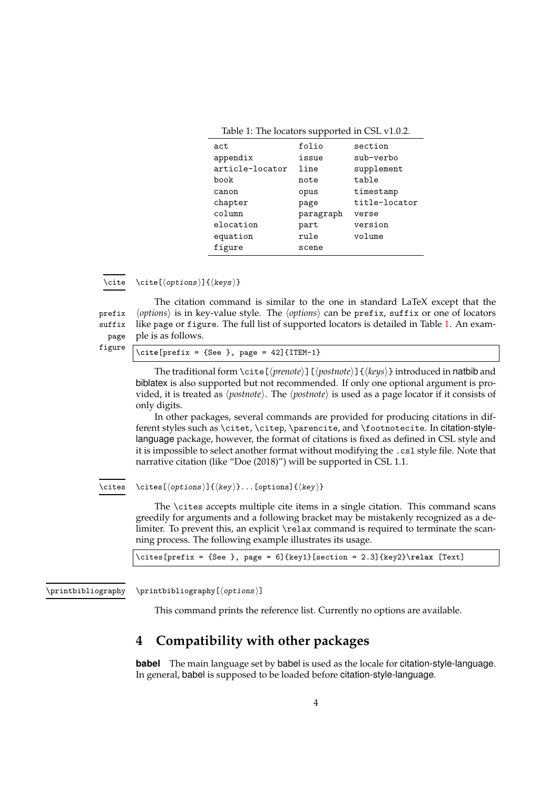<span id="page-3-0"></span>Table 1: The locators supported in CSL v1.0.2.

| act.            | folio     | section       |
|-----------------|-----------|---------------|
| appendix        | issue     | sub-verbo     |
| article-locator | line      | supplement    |
| book            | note      | table         |
| canon           | opus      | timestamp     |
| chapter         | page      | title-locator |
| $c0$ lumn       | paragraph | verse         |
| elocation       | part      | version       |
| equation        | rule      | volume        |
| figure          | scene     |               |

\cite \cite[⟨options⟩]{⟨keys⟩}

The citation command is similar to the one in standard LaTeX except that the prefix ⟨*options*⟩ is in key-value style. The ⟨*options*⟩ can be prefix, suffix or one of locators like page or figure. The full list of supported locators is detailed in Table [1.](#page-3-0) An example is as follows.

page figure

suffix

\**cite**[prefix = {See }, page = 42]{ITEM-1}

The traditional form \cite[⟨*prenote*⟩][⟨*postnote*⟩]{⟨*keys*⟩} introduced in natbib and biblatex is also supported but not recommended. If only one optional argument is provided, it is treated as ⟨*postnote*⟩. The ⟨*postnote*⟩ is used as a page locator if it consists of only digits.

In other packages, several commands are provided for producing citations in different styles such as \citet, \citep, \parencite, and \footnotecite. In citation-stylelanguage package, however, the format of citations is fixed as defined in CSL style and it is impossible to select another format without modifying the .csl style file. Note that narrative citation (like "Doe (2018)") will be supported in CSL 1.1.

\cites \cites[⟨options⟩]{⟨key⟩}...[options]{⟨key⟩}

The \cites accepts multiple cite items in a single citation. This command scans greedily for arguments and a following bracket may be mistakenly recognized as a delimiter. To prevent this, an explicit \relax command is required to terminate the scanning process. The following example illustrates its usage.

\cites[prefix = {See }, page = 6]{key1}[section = 2.3]{key2}\**relax** [Text]

\printbibliography \printbibliography[⟨options⟩]

This command prints the reference list. Currently no options are available.

#### **4 Compatibility with other packages**

**babel** The main language set by babel is used as the locale for citation-style-language. In general, babel is supposed to be loaded before citation-style-language.